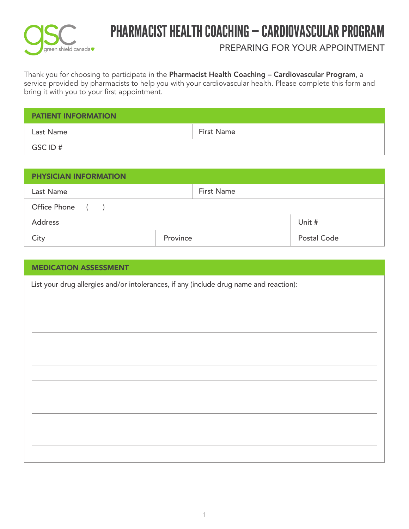

# PHARMACIST HEALTH COACHING — CARDIOVASCULAR PROGRAM

PREPARING FOR YOUR APPOINTMENT

Thank you for choosing to participate in the **Pharmacist Health Coaching – Cardiovascular Program**, a service provided by pharmacists to help you with your cardiovascular health. Please complete this form and bring it with you to your first appointment.

| <b>PATIENT INFORMATION</b> |                   |  |  |  |
|----------------------------|-------------------|--|--|--|
| Last Name                  | <b>First Name</b> |  |  |  |
| GSC ID #                   |                   |  |  |  |

| <b>PHYSICIAN INFORMATION</b> |                   |             |  |  |  |  |  |
|------------------------------|-------------------|-------------|--|--|--|--|--|
| Last Name                    | <b>First Name</b> |             |  |  |  |  |  |
| Office Phone ()              |                   |             |  |  |  |  |  |
| <b>Address</b>               |                   | Unit #      |  |  |  |  |  |
| City                         | Province          | Postal Code |  |  |  |  |  |

| <b>MEDICATION ASSESSMENT</b>                                                           |  |  |  |  |  |  |
|----------------------------------------------------------------------------------------|--|--|--|--|--|--|
| List your drug allergies and/or intolerances, if any (include drug name and reaction): |  |  |  |  |  |  |
|                                                                                        |  |  |  |  |  |  |
|                                                                                        |  |  |  |  |  |  |
|                                                                                        |  |  |  |  |  |  |
|                                                                                        |  |  |  |  |  |  |
|                                                                                        |  |  |  |  |  |  |
|                                                                                        |  |  |  |  |  |  |
|                                                                                        |  |  |  |  |  |  |
|                                                                                        |  |  |  |  |  |  |
|                                                                                        |  |  |  |  |  |  |
|                                                                                        |  |  |  |  |  |  |
|                                                                                        |  |  |  |  |  |  |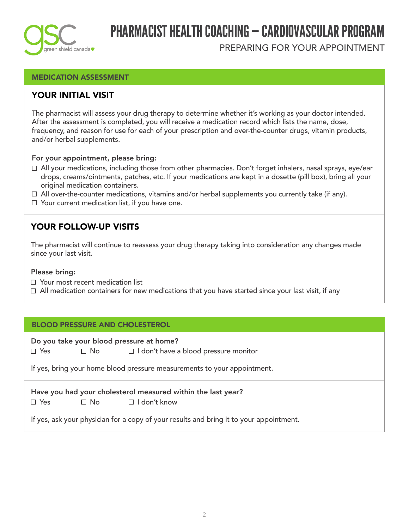

# PHARMACIST HEALTH COACHING — CARDIOVASCULAR PROGRAM

PREPARING FOR YOUR APPOINTMENT

### MEDICATION ASSESSMENT

### YOUR INITIAL VISIT

The pharmacist will assess your drug therapy to determine whether it's working as your doctor intended. After the assessment is completed, you will receive a medication record which lists the name, dose, frequency, and reason for use for each of your prescription and over-the-counter drugs, vitamin products, and/or herbal supplements.

#### For your appointment, please bring:

- All your medications, including those from other pharmacies. Don't forget inhalers, nasal sprays, eye/ear drops, creams/ointments, patches, etc. If your medications are kept in a dosette (pill box), bring all your original medication containers.
- $\Box$  All over-the-counter medications, vitamins and/or herbal supplements you currently take (if any).
- Your current medication list, if you have one.

### YOUR FOLLOW-UP VISITS

The pharmacist will continue to reassess your drug therapy taking into consideration any changes made since your last visit.

#### Please bring:

- Your most recent medication list
- $\Box$  All medication containers for new medications that you have started since your last visit, if any

#### BLOOD PRESSURE AND CHOLESTEROL

 $\Box$  No Do you take your blood pressure at home?  $\Box$  Yes  $\Box$  No  $\Box$  I don't have a blood pressure monitor

If yes, bring your home blood pressure measurements to your appointment.

Have you had your cholesterol measured within the last year?  $\Box$  Yes  $\Box$  No  $\Box$  I don't know

If yes, ask your physician for a copy of your results and bring it to your appointment.